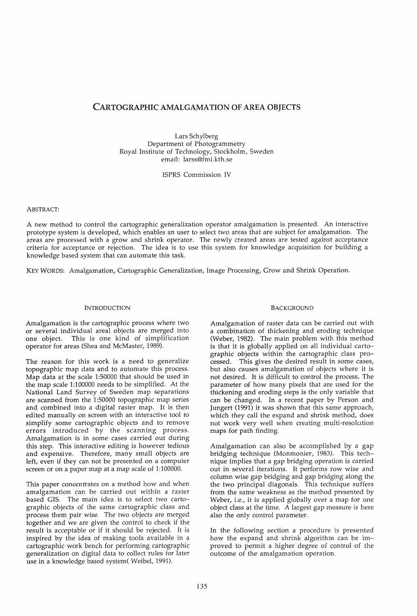# CARTOGRAPHIC AMALGAMATION OF AREA OBJECTS

Lars Schylberg Department of Photogrammetry Royal Institute of Technology, Stockholm, Sweden email: larss@fmi.kth.se

ISPRS Commission IV

## ABSTRACT:

A new method to control the cartographic generalization operator amalgamation is presented. An interactive prototype system is developed, which enables an user to select two areas that are subject for amalgamation. The areas are processed with a grow and shrink operator. The newly created areas are tested against acceptance criteria for acceptance or rejection. The idea is to use this system for knowledge acquisition for building a knowledge based system that can automate this task.

KEY WORDS: Amalgamation, Cartographic Generalization, Image Processing, Grow and Shrink Operation.

# INTRODUCTION

Amalgamation is the cartographic process where two or several individual areal objects are merged into one object. This is one kind of simplification operator for areas (Shea and McMaster, 1989).

The reason for this work is a need to generalize topographic map data and to automate this process. Map data at the scale 1:50000 that should be used in the map scale 1:100000 needs to be simplified. At the National Land Survey of Sweden map separations are scanned from the 1:50000 topographic map series and combined into a digital raster map. It is then edited manually on screen with an interactive tool to simplify some cartographic objects and to remove errors introduced by the scanning process. Amalgamation is in some cases carried out during this step. This interactive editing is however tedious and expensive. Therefore, many small objects are left, even if they can not be presented on a computer screen or on a paper map at a map scale of 1:100000.

This paper concentrates on a method how and when amalgamation can be carried out within a raster based GIS. The main idea is to select two cartographic objects of the same cartographic class and process them pair wise. The two objects are merged together and we are given the control to check if the result is acceptable or if it should be rejected. It is inspired by the idea of making tools available in a cartographic work bench for performing cartographic generalization on digital data to collect rules for later use in a knowledge based system( Weibel, 1991).

## BACKGROUND

Amalgamation of raster data can be carried out with a combination of thickening and eroding technique (Weber, 1982). The main problem with this method is that it is globally applied on all individual cartographic objects within the cartographic class processed. This gives the desired result in some cases, but also causes amalgamation of objects where it is not desired. It is difficult to control the process. The parameter of how many pixels that are used for the thickening and eroding steps is the only variable that can be changed. In a recent paper by Person and Jungert (1991) it was shown that this same approach, which they call the expand and shrink method, does not work very well when creating multi-resolution maps for path finding.

Amalgamation can also be accomplished by a gap bridging technique (Monmonier, 1983). This technique implies that a gap bridging operation is carried out in several iterations. It performs row wise and column wise gap bridging and gap bridging along the the two principal diagonals. This technique suffers from the same weakness as the method presented by Weber, i.e., it is applied globally over a map for one object class at the time. A largest gap measure is here also the only control parameter.

In the following section a procedure is presented how the expand and shrink algorithm can be improved to permit a higher degree of control of the outcome of the amalgamation operation.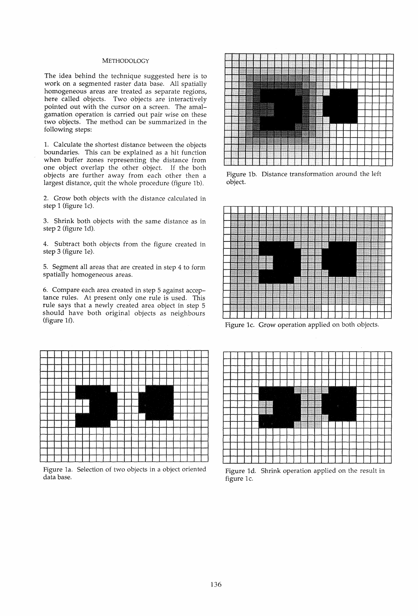# METHODOLOGY

The idea behind the technique suggested here is to work on a segmented raster data base. All spatially homogeneous areas are treated as separate regions, here called objects. Two objects are interactively pointed out with the cursor on a screen. The amalgamation operation is carried out pair wise on these two objects. The method can be summarized in the following steps:

1. Calculate the shortest distance between the objects boundaries. This can be explained as a hit function when buffer zones representing the distance from one object overlap the other object. If the both objects are further away from each other then a largest distance, quit the whole procedure (figure Ib).

2. Grow both objects with the distance calculated in step 1 (figure lc).

3. Shrink both objects with the same distance as in step 2 (figure Id).

4. Subtract both objects from the figure created in step 3 (figure le).

5. Segment all areas that are created in step 4 to form spatially homogeneous areas.

6. Compare each area created in step 5 against acceptance rules. At present only one rule is used. This rule says that a newly created area object in step 5 should have both original objects as neighbours (figure 1f).



Figure la. Selection of two objects in a object oriented data base.



Figure lb. Distance transformation around the left object.



Figure lc. Grow operation applied on both objects.



Figure Id. Shrink operation applied on the result in figure 1c.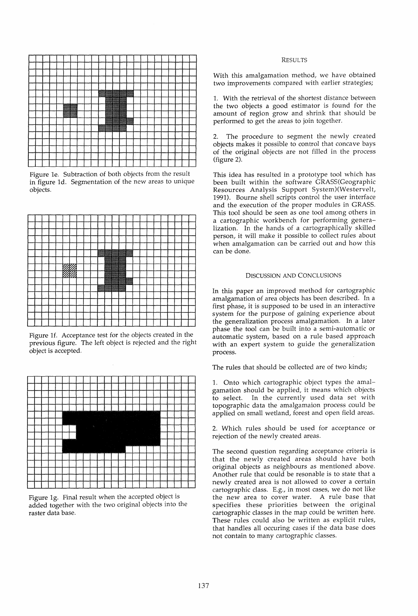

Figure 1e. Subtraction of both objects from the result in figure 1d. Segmentation of the new areas to unique objects.

|  |                 |  | $\blacksquare$ |                        |                        |                                                                                                                      |  |  |  |  |  |
|--|-----------------|--|----------------|------------------------|------------------------|----------------------------------------------------------------------------------------------------------------------|--|--|--|--|--|
|  | 777777<br>VIN A |  |                | ,,,,,,,,,,,,<br>200220 |                        |                                                                                                                      |  |  |  |  |  |
|  | 'INIA           |  |                | <u>www.</u>            |                        |                                                                                                                      |  |  |  |  |  |
|  |                 |  | 888            |                        | <b><i>CONTRACT</i></b> | <u> and the second second in the second second in the second second second in the second second in the second se</u> |  |  |  |  |  |
|  |                 |  | <b>Vocasio</b> |                        |                        |                                                                                                                      |  |  |  |  |  |
|  |                 |  |                |                        |                        |                                                                                                                      |  |  |  |  |  |
|  |                 |  |                |                        |                        |                                                                                                                      |  |  |  |  |  |
|  |                 |  |                |                        |                        |                                                                                                                      |  |  |  |  |  |
|  |                 |  |                |                        |                        |                                                                                                                      |  |  |  |  |  |
|  |                 |  |                |                        |                        |                                                                                                                      |  |  |  |  |  |
|  |                 |  |                |                        |                        |                                                                                                                      |  |  |  |  |  |
|  |                 |  |                |                        |                        |                                                                                                                      |  |  |  |  |  |

Figure 1f. Acceptance test for the objects created in the previous figure. The left object is rejected and the right object is accepted.



Figure 19. Final result when the accepted object is added together with the two original objects into the raster data base.

# RESULTS

With this amalgamation method, we have obtained two improvements compared with earlier strategies;

1. With the retrieval of the shortest distance between the two objects a good estimator is found for the amount of region grow and shrink that should be performed to get the areas to join together.

2. The procedure to segment the newly created objects makes it possible to control that concave bays of the original objects are not filled in the process (figure 2).

This idea has resulted in a prototype tool which has been built within the software GRASS(Geographic Resources Analysis Support System)(Westervelt, 1991). Bourne shell scripts control the user interface and the execution of the proper modules in GRASS. This tool should be seen as one tool among others in a cartographic workbench for performing generalization. In the hands of a cartographically skilled person, it will make it possible to collect rules about when amalgamation can be carried out and how this can be done.

# DISCUSSION AND CONCLUSIONS

In this paper an improved method for cartographic amalgamation of area objects has been described. In a first phase, it is supposed to be used in an interactive system for the purpose of gaining experience about the generalization process amalgamation. In a later phase the tool can be built into a semi-automatic or automatic system, based on a rule based approach with an expert system to guide the generalization process.

The rules that should be collected are of two kinds;

1. Onto which cartographic object types the amalgamation should be applied, it means which objects to select. In the currently used data set with topographic data the amalgamaion process could be applied on small wetland, forest and open field areas.

2. Which rules should be used for acceptance or rejection of the newly created areas.

The second question regarding acceptance criteria is that the newly created areas should have both original objects as neighbours as mentioned above. Another rule that could be resonable is to state that a newly created area is not allowed to cover a certain cartographic class. E.g., in most cases, we do not like the new area to cover water. A rule base that specifies these priorities between the original cartographic classes in the map could be written here. These rules could also be written as explicit rules, that handles all occuring cases if the data base does not contain to many cartographic classes.